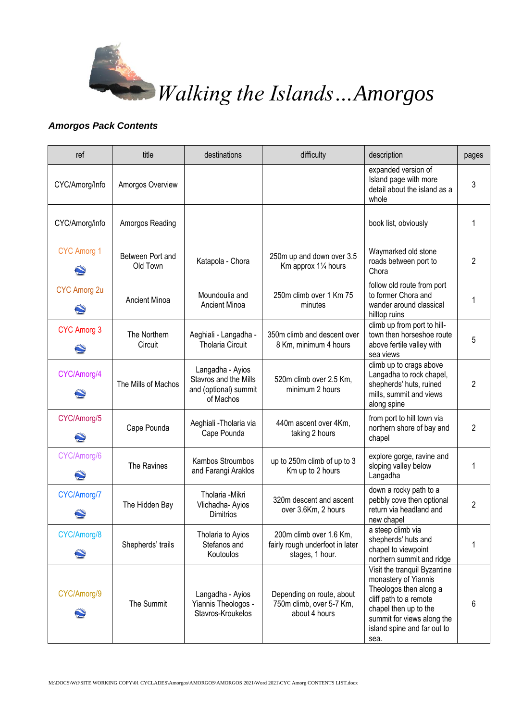

*Walking the Islands…Amorgos*

## *Amorgos Pack Contents*

| ref                                      | title                        | destinations                                                                    | difficulty                                                                    | description                                                                                                                                                                                            | pages |
|------------------------------------------|------------------------------|---------------------------------------------------------------------------------|-------------------------------------------------------------------------------|--------------------------------------------------------------------------------------------------------------------------------------------------------------------------------------------------------|-------|
| CYC/Amorg/Info                           | Amorgos Overview             |                                                                                 |                                                                               | expanded version of<br>Island page with more<br>detail about the island as a<br>whole                                                                                                                  | 3     |
| CYC/Amorg/info                           | Amorgos Reading              |                                                                                 |                                                                               | book list, obviously                                                                                                                                                                                   |       |
| <b>CYC Amorg 1</b>                       | Between Port and<br>Old Town | Katapola - Chora                                                                | 250m up and down over 3.5<br>Km approx 11/4 hours                             | Waymarked old stone<br>roads between port to<br>Chora                                                                                                                                                  | 2     |
| <b>CYC Amorg 2u</b><br>$\mathbf{\Omega}$ | Ancient Minoa                | Moundoulia and<br>Ancient Minoa                                                 | 250m climb over 1 Km 75<br>minutes                                            | follow old route from port<br>to former Chora and<br>wander around classical<br>hilltop ruins                                                                                                          |       |
| <b>CYC Amorg 3</b><br>$\mathbf{Q}$       | The Northern<br>Circuit      | Aeghiali - Langadha -<br><b>Tholaria Circuit</b>                                | 350m climb and descent over<br>8 Km, minimum 4 hours                          | climb up from port to hill-<br>town then horseshoe route<br>above fertile valley with<br>sea views                                                                                                     | 5     |
| CYC/Amorg/4                              | The Mills of Machos          | Langadha - Ayios<br>Stavros and the Mills<br>and (optional) summit<br>of Machos | 520m climb over 2.5 Km,<br>minimum 2 hours                                    | climb up to crags above<br>Langadha to rock chapel,<br>shepherds' huts, ruined<br>mills, summit and views<br>along spine                                                                               | 2     |
| CYC/Amorg/5<br>$\mathbf{C}$              | Cape Pounda                  | Aeghiali - Tholaria via<br>Cape Pounda                                          | 440m ascent over 4Km,<br>taking 2 hours                                       | from port to hill town via<br>northern shore of bay and<br>chapel                                                                                                                                      | 2     |
| CYC/Amorg/6                              | The Ravines                  | Kambos Stroumbos<br>and Farangi Araklos                                         | up to 250m climb of up to 3<br>Km up to 2 hours                               | explore gorge, ravine and<br>sloping valley below<br>Langadha                                                                                                                                          | 1     |
| CYC/Amorg/7                              | The Hidden Bay               | Tholaria - Mikri<br>Vlichadha- Ayios<br>Dimitrios                               | 320m descent and ascent<br>over 3.6Km, 2 hours                                | down a rocky path to a<br>pebbly cove then optional<br>return via headland and<br>new chapel                                                                                                           | 2     |
| CYC/Amorg/8                              | Shepherds' trails            | Tholaria to Ayios<br>Stefanos and<br>Koutoulos                                  | 200m climb over 1.6 Km,<br>fairly rough underfoot in later<br>stages, 1 hour. | a steep climb via<br>shepherds' huts and<br>chapel to viewpoint<br>northern summit and ridge                                                                                                           |       |
| CYC/Amorg/9                              | The Summit                   | Langadha - Ayios<br>Yiannis Theologos -<br>Stavros-Kroukelos                    | Depending on route, about<br>750m climb, over 5-7 Km,<br>about 4 hours        | Visit the tranquil Byzantine<br>monastery of Yiannis<br>Theologos then along a<br>cliff path to a remote<br>chapel then up to the<br>summit for views along the<br>island spine and far out to<br>sea. | 6     |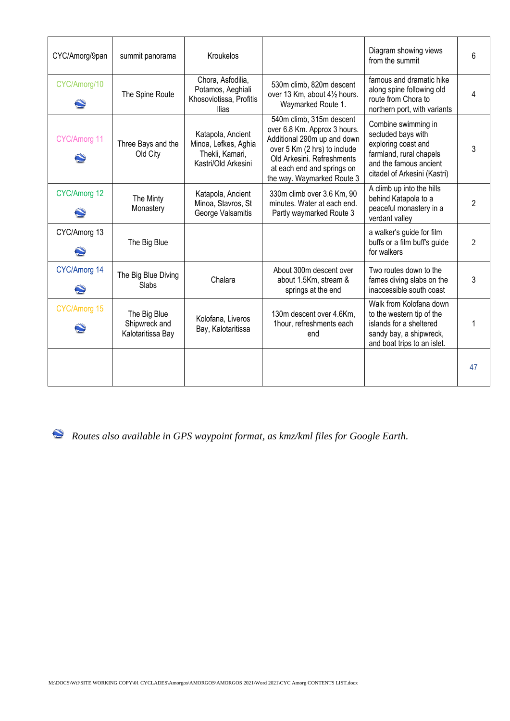| CYC/Amorg/9pan | summit panorama                                    | Kroukelos                                                                           |                                                                                                                                                                                                                   | Diagram showing views<br>from the summit                                                                                                              | 6              |
|----------------|----------------------------------------------------|-------------------------------------------------------------------------------------|-------------------------------------------------------------------------------------------------------------------------------------------------------------------------------------------------------------------|-------------------------------------------------------------------------------------------------------------------------------------------------------|----------------|
| CYC/Amorg/10   | The Spine Route                                    | Chora, Asfodilia,<br>Potamos, Aeghiali<br>Khosoviotissa, Profitis<br>llias          | 530m climb, 820m descent<br>over 13 Km, about 41/2 hours.<br>Waymarked Route 1.                                                                                                                                   | famous and dramatic hike<br>along spine following old<br>route from Chora to<br>northern port, with variants                                          |                |
| CYC/Amorg 11   | Three Bays and the<br>Old City                     | Katapola, Ancient<br>Minoa, Lefkes, Aghia<br>Thekli, Kamari,<br>Kastri/Old Arkesini | 540m climb, 315m descent<br>over 6.8 Km. Approx 3 hours.<br>Additional 290m up and down<br>over 5 Km (2 hrs) to include<br>Old Arkesini, Refreshments<br>at each end and springs on<br>the way. Waymarked Route 3 | Combine swimming in<br>secluded bays with<br>exploring coast and<br>farmland, rural chapels<br>and the famous ancient<br>citadel of Arkesini (Kastri) | 3              |
| CYC/Amorg 12   | The Minty<br>Monastery                             | Katapola, Ancient<br>Minoa, Stavros, St<br>George Valsamitis                        | 330m climb over 3.6 Km, 90<br>minutes. Water at each end.<br>Partly waymarked Route 3                                                                                                                             | A climb up into the hills<br>behind Katapola to a<br>peaceful monastery in a<br>verdant valley                                                        | 2              |
| CYC/Amorg 13   | The Big Blue                                       |                                                                                     |                                                                                                                                                                                                                   | a walker's guide for film<br>buffs or a film buff's guide<br>for walkers                                                                              | $\overline{c}$ |
| CYC/Amorg 14   | The Big Blue Diving<br>Slabs                       | Chalara                                                                             | About 300m descent over<br>about 1.5Km, stream &<br>springs at the end                                                                                                                                            | Two routes down to the<br>fames diving slabs on the<br>inaccessible south coast                                                                       | 3              |
| CYC/Amorg 15   | The Big Blue<br>Shipwreck and<br>Kalotaritissa Bay | Kolofana, Liveros<br>Bay, Kalotaritissa                                             | 130m descent over 4.6Km,<br>1hour, refreshments each<br>end                                                                                                                                                       | Walk from Kolofana down<br>to the western tip of the<br>islands for a sheltered<br>sandy bay, a shipwreck,<br>and boat trips to an islet.             |                |
|                |                                                    |                                                                                     |                                                                                                                                                                                                                   |                                                                                                                                                       | 47             |

*Routes also available in GPS waypoint format, as kmz/kml files for Google Earth.*